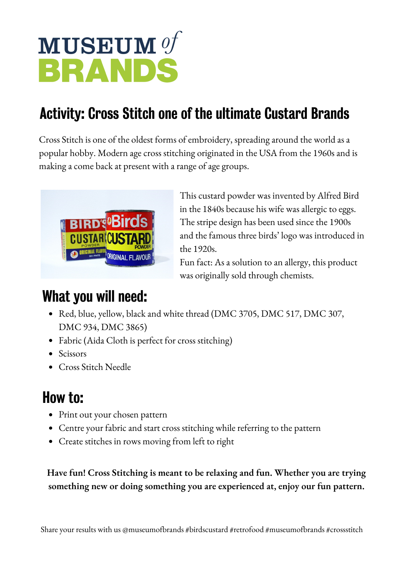# MUSEUM Of BRANDS

# Activity: Cross Stitch one of the ultimate Custard Brands

Cross Stitch is one of the oldest forms of embroidery, spreading around the world as a popular hobby. Modern age cross stitching originated in the USA from the 1960s and is making a come back at present with a range of age groups.



This custard powder was invented by Alfred Bird in the 1840s because his wife was allergic to eggs. The stripe design has been used since the 1900s and the famous three birds' logo was introduced in the 1920s.

Fun fact: As a solution to an allergy, this product was originally sold through chemists.

### What you will need:

- Red, blue, yellow, black and white thread (DMC 3705, DMC 517, DMC 307, DMC 934, DMC 3865)
- Fabric (Aida Cloth is perfect for cross stitching)
- Scissors
- Cross Stitch Needle

# How to:

- Print out your chosen pattern
- Centre your fabric and start cross stitching while referring to the pattern
- Create stitches in rows moving from left to right

**Have fun! Cross Stitching is meant to be relaxing and fun. Whether you are trying something new or doing something you are experienced at, enjoy our fun pattern.**

Share your results with us @museumofbrands #birdscustard #retrofood #museumofbrands #crossstitch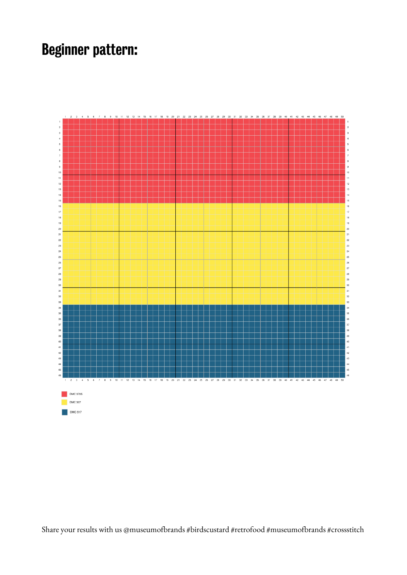#### Beginner pattern:



Share your results with us @museumofbrands #birdscustard #retrofood #museumofbrands #crossstitch